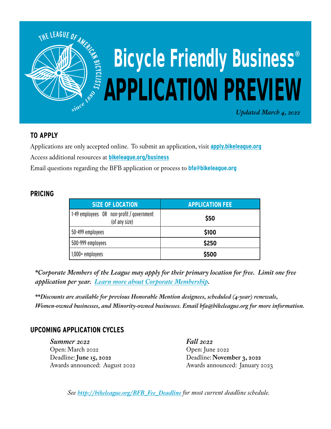

# **TO APPLY**

Applications are only accepted online. To submit an application, visit **[apply.bikeleague.org](http://apply.bikeleague.org)** Access additional resources at **[bikeleague.org/business](http://bikeleague.org/business)**

Email questions regarding the BFB application or process to **bfa@bikeleague.org**

## **PRICING**

| <b>SIZE OF LOCATION</b>                                    | <b>APPLICATION FEE</b> |  |
|------------------------------------------------------------|------------------------|--|
| 1-49 employees OR non-profit / government<br>(of any size) | \$50                   |  |
| 50-499 employees                                           | \$100                  |  |
| 500-999 employees                                          | \$250                  |  |
| $1,000+$ employees                                         | \$500                  |  |

*\*Corporate Members of the League may apply for their primary location for free. Limit one free application per year. [Learn more about Corporate Membership.](http://bikeleague.org/content/levels-and-benefits)* 

*\*\*Discounts are available for previous Honorable Mention designees, scheduled (4-year) renewals, Women-owned businesses, and Minority-owned businesses. Email bfa@bikeleague.org for more information.* 

## **UPCOMING APPLICATION CYCLES**

*Summer 2022* Open: March 2022 Deadline: **June 15, 2022** Awards announced: August 2022 *Fall 2022* Open: June 2022 Deadline: **November 3, 2022** Awards announced: January 2023

*See http://bikeleague.org/BFB\_Fee\_Deadline for most current deadline schedule.*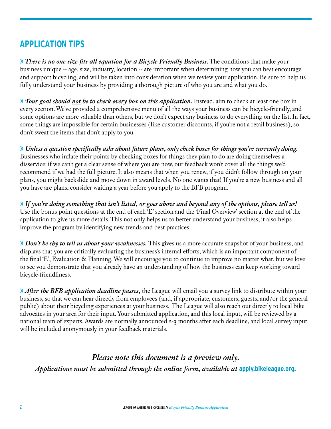# **APPLICATION TIPS**

» *There is no one-size-fits-all equation for a Bicycle Friendly Business.* The conditions that make your business unique -- age, size, industry, location -- are important when determining how you can best encourage and support bicycling, and will be taken into consideration when we review your application. Be sure to help us fully understand your business by providing a thorough picture of who you are and what you do.

» *Your goal should not be to check every box on this application.* Instead, aim to check at least one box in every section. We've provided a comprehensive menu of all the ways your business can be bicycle-friendly, and some options are more valuable than others, but we don't expect any business to do everything on the list. In fact, some things are impossible for certain businesses (like customer discounts, if you're not a retail business), so don't sweat the items that don't apply to you.

» *Unless a question specifically asks about future plans, only check boxes for things you're currently doing.*  Businesses who inflate their points by checking boxes for things they plan to do are doing themselves a disservice: if we can't get a clear sense of where you are now, our feedback won't cover all the things we'd recommend if we had the full picture. It also means that when you renew, if you didn't follow through on your plans, you might backslide and move down in award levels. No one wants that! If you're a new business and all you have are plans, consider waiting a year before you apply to the BFB program.

» *If you're doing something that isn't listed, or goes above and beyond any of the options, please tell us!* Use the bonus point questions at the end of each 'E' section and the 'Final Overview' section at the end of the application to give us more details. This not only helps us to better understand your business, it also helps improve the program by identifying new trends and best practices.

» *Don't be shy to tell us about your weaknesses.* This gives us a more accurate snapshot of your business, and displays that you are critically evaluating the business's internal efforts, which is an important component of the final 'E', Evaluation & Planning. We will encourage you to continue to improve no matter what, but we love to see you demonstrate that you already have an understanding of how the business can keep working toward bicycle-friendliness.

» *After the BFB application deadline passes,* the League will email you a survey link to distribute within your business, so that we can hear directly from employees (and, if appropriate, customers, guests, and/or the general public) about their bicycling experiences at your business. The League will also reach out directly to local bike advocates in your area for their input. Your submitted application, and this local input, will be reviewed by a national team of experts. Awards are normally announced 2-3 months after each deadline, and local survey input will be included anonymously in your feedback materials.

*Please note this document is a preview only. Applications must be submitted through the online form, available at [apply.bikeleague.org.](http://apply.bikeleague.org)*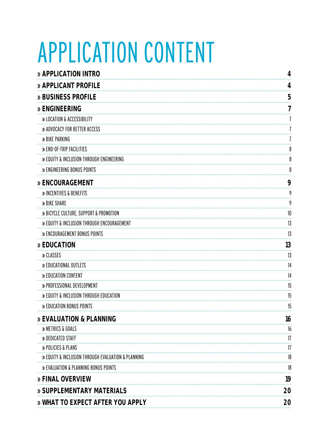# APPLICATION CONTENT

| » APPLICATION INTRO                                | 4  |
|----------------------------------------------------|----|
| » APPLICANT PROFILE                                | 4  |
| » BUSINESS PROFILE                                 | 5  |
| » ENGINEERING                                      | 7  |
| » LOCATION & ACCESSIBILITY                         |    |
| » ADVOCACY FOR BETTER ACCESS                       |    |
| » BIKE PARKING                                     |    |
| » END-OF-TRIP FACILITIES                           | 8  |
| » EQUITY & INCLUSION THROUGH ENGINEERING           | 8  |
| » ENGINEERING BONUS POINTS                         | 8  |
| » ENCOURAGEMENT                                    | 9  |
| » INCENTIVES & BENEFITS                            | 9  |
| » BIKE SHARE                                       | 9  |
| » BICYCLE CULTURE, SUPPORT & PROMOTION             | 10 |
| » EQUITY & INCLUSION THROUGH ENCOURAGEMENT         | 13 |
| » ENCOURAGEMENT BONUS POINTS                       | 13 |
| » EDUCATION                                        | 13 |
| » CLASSES                                          | 13 |
| » EDUCATIONAL OUTLETS                              | 14 |
| » EDUCATION CONTENT                                | 14 |
| » PROFESSIONAL DEVELOPMENT                         | 15 |
| » EQUITY & INCLUSION THROUGH EDUCATION             | 15 |
| » EDUCATION BONUS POINTS                           | 15 |
| » EVALUATION & PLANNING                            | 16 |
| » METRICS & GOALS                                  | 16 |
| » DEDICATED STAFF                                  | 17 |
| » POLICIES & PLANS                                 | 17 |
| » EQUITY & INCLUSION THROUGH EVALUATION & PLANNING | 18 |
| » EVALUATION & PLANNING BONUS POINTS               | 18 |
| » FINAL OVERVIEW                                   | 19 |
| » SUPPLEMENTARY MATERIALS                          | 20 |
| » WHAT TO EXPECT AFTER YOU APPLY                   | 20 |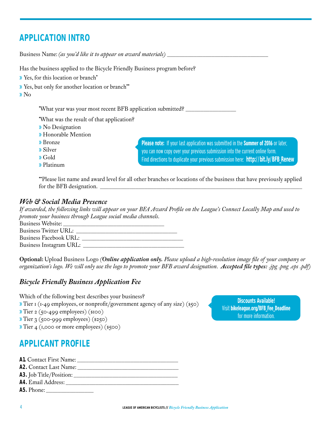# <span id="page-3-0"></span>**APPLICATION INTRO**

| Business Name: (as you'd like it to appear on award materials)                                                                                                      |                                                                                                                                                                                                                                                                          |
|---------------------------------------------------------------------------------------------------------------------------------------------------------------------|--------------------------------------------------------------------------------------------------------------------------------------------------------------------------------------------------------------------------------------------------------------------------|
| Has the business applied to the Bicycle Friendly Business program before?                                                                                           |                                                                                                                                                                                                                                                                          |
| >> Yes, for this location or branch*                                                                                                                                |                                                                                                                                                                                                                                                                          |
| >> Yes, but only for another location or branch**<br>$\sqrt{N}$                                                                                                     |                                                                                                                                                                                                                                                                          |
| *What year was your most recent BFB application submitted? ____                                                                                                     |                                                                                                                                                                                                                                                                          |
| *What was the result of that application?<br>» No Designation<br><b>»</b> Honorable Mention<br><b>»</b> Bronze<br><b>»</b> Silver<br>$\triangle$ Gold<br>» Platinum | <b>Please note:</b> If your last application was submitted in the <b>Summer of 2016</b> or later,<br>you can now copy over your previous submission into the current online form.<br>Find directions to duplicate your previous submission here: http://bit.ly/BFB_Renew |

**\*\***Please list name and award level for all other branches or locations of the business that have previously applied for the BFB designation.

#### *Web & Social Media Presence*

*If awarded, the following links will appear on your BFA Award Profile on the League's [Connect Locally Map](http://bikeleague.org/bfa/search/map%3Fbfaq%3D) and used to promote your business through League social media channels.*

Business Website: Business Twitter URL: Business Facebook URL: \_\_\_\_\_\_\_\_\_\_\_\_\_\_\_\_\_\_\_\_\_\_\_\_\_\_\_\_\_\_\_\_\_\_ Business Instagram URL: \_\_\_\_\_\_\_\_\_\_\_\_\_\_\_\_\_\_\_\_\_\_\_\_\_\_\_\_\_\_\_\_\_\_

**Optional:** Upload Business Logo *(Online application only. Please upload a high-resolution image file of your company or organization's logo. We will only use the logo to promote your BFB award designation. Accepted file types: .jpg .png .eps .pdf)*

## *Bicycle Friendly Business Application Fee*

Which of the following best describes your business?

» Tier 1 (1-49 employees, or nonprofit/government agency of any size) (\$50)

» Tier 2 (50-499 employees) (\$100)

- » Tier 3 (500-999 employees) (\$250)
- » Tier 4 (1,000 or more employees) (\$500)

# **APPLICANT PROFILE**

**A1.** Contact First Name: \_\_\_\_\_\_\_\_\_\_\_\_\_\_\_\_\_\_\_\_\_\_\_\_\_\_\_\_\_\_\_\_\_\_ **A2.** Contact Last Name: \_\_\_\_\_\_\_\_\_\_\_\_\_\_\_\_\_\_\_\_\_\_\_\_\_\_\_\_\_\_\_\_\_\_ **A3.** Job Title/Position: \_\_\_\_\_\_\_\_\_\_\_\_\_\_\_\_\_\_\_\_\_\_\_\_\_\_\_\_\_\_\_\_\_\_\_

- A4. Email Address:
- **A5.** Phone: \_\_\_\_\_\_\_\_\_\_\_\_\_\_\_\_

Discounts Available! Visit **bikeleague.org/BFB\_Fee\_Deadline**  for more information.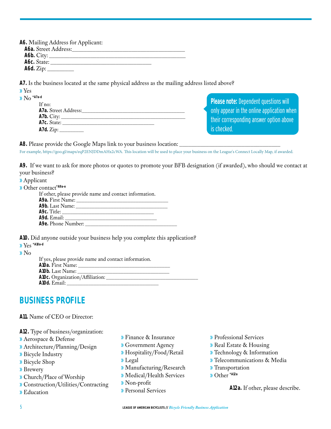| A6. Mailing Address for Applicant: |
|------------------------------------|
|                                    |
|                                    |
| A6c. State:                        |
| A6d. $Zip:$                        |

**A7.** Is the business located at the same physical address as the mailing address listed above?

| $\mathbf{y}$ Yes                                           |                                                      |
|------------------------------------------------------------|------------------------------------------------------|
| $NO$ *A7a-d<br>If $no:$                                    | <b>Please note: Dependent questions will</b>         |
| A7a. Street Address:                                       | $\,$ only appear in the online application when $\,$ |
|                                                            | their corresponding answer option above              |
| A7c. State:                                                |                                                      |
| A7d. Zip: $\_\_\_\_\_\_\_\_\_\_\_\_\_\_\_\_\_\_\_\_\_\_\_$ | is checked.                                          |

**A8.** Please provide the Google Maps link to your business location:

For example, https://goo.gl/maps/eqP2ENJDDmAHx2cWA. This location will be used to place your business on the League's Connect Locally Map, if awarded.

**A9.** If we want to ask for more photos or quotes to promote your BFB designation (if awarded), who should we contact at your business?

| <b>»</b> Applicant |  |
|--------------------|--|
|--------------------|--|

| Department Other contact*A9a-e                                   |
|------------------------------------------------------------------|
| $\mathbf{I}$ $\mathbf{C}$ $\mathbf{I}$ $\mathbf{I}$ $\mathbf{I}$ |

| If other, please provide name and contact information.                                                                                                                                                                         |  |
|--------------------------------------------------------------------------------------------------------------------------------------------------------------------------------------------------------------------------------|--|
|                                                                                                                                                                                                                                |  |
|                                                                                                                                                                                                                                |  |
| <b>A9c</b> . Title: _______________________________                                                                                                                                                                            |  |
|                                                                                                                                                                                                                                |  |
| A9e. Phone Number: New York 2014 1998. The Manual Contract of the Manual Contract of the Manual Contract of the Manual Contract of the Manual Contract of the Manual Contract of the Manual Contract of the Manual Contract of |  |
|                                                                                                                                                                                                                                |  |

**A10.** Did anyone outside your business help you complete this application?

» Yes **\*A10a-d**

» No

| If yes, please provide name and contact information. |  |
|------------------------------------------------------|--|
| A10a. First Name:                                    |  |
| A10b. Last Name:                                     |  |
| A10c. Organization/Affiliation: ______________       |  |
| A10d. Email:                                         |  |

# **BUSINESS PROFILE**

#### **A11.** Name of CEO or Director:

**A12.** Type of business/organization:

- » Aerospace & Defense
- » Architecture/Planning/Design
- » Bicycle Industry
- » Bicycle Shop
- » Brewery
- » Church/Place of Worship
- » Construction/Utilities/Contracting
- » Education
- » Finance & Insurance
- » Government Agency
- » Hospitality/Food/Retail
- » Legal
- » Manufacturing/Research
- » Medical/Health Services
- » Non-profit
- » Personal Services
- » Professional Services
- » Real Estate & Housing
- » Technology & Information
- » Telecommunications & Media
- » Transportation
- » Other **\*A12a**

**A12a.** If other, please describe.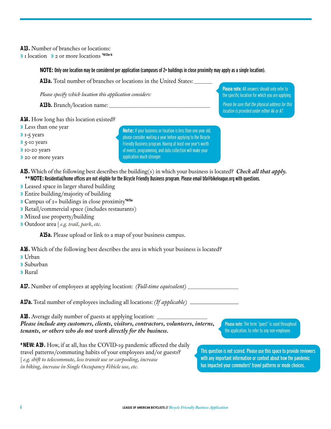<span id="page-5-0"></span>**A13.** Number of branches or locations:

» 1 location » 2 or more locations **\*A13a-b** 

**NOTE:** Only one location may be considered per application (campuses of 2+ buildings in close proximity may apply as a single location).

**A13a.** Total number of branches or locations in the United States: \_\_\_\_\_\_

*Please specify which location this application considers:* 

**A13b.** Branch/location name:

Please note: All answers should only refer to the specific location for which you are applying. Please be sure that the physical address for this

location is provided under either A6 or A7.

**A14.** How long has this location existed?

- » Less than one year
- » 1-5 years
- » 5-10 years
- » 10-20 years
- » 20 or more years

**Note:** If your business or location is less than one year old, please consider waiting a year before applying to the Bicycle Friendly Business program. Having at least one year's worth of events, programming, and data collection will make your application much stronger.

- **A15.** Which of the following best describes the building(s) in which your business is located? *Check all that apply.* **\*\*NOTE:** Residential/home offices are not eligible for the Bicycle Friendly Business program. Please email bfa@bikeleague.org with questions.
- » Leased space in larger shared building
- » Entire building/majority of building
- » Campus of 2+ buildings in close proximity**\*A15a**
- » Retail/commercial space (includes restaurants)
- » Mixed use property/building
- » Outdoor area | *e.g. trail, park, etc.*

**A15a.** Please upload or link to a map of your business campus.

**A16.** Which of the following best describes the area in which your business is located?

- » Urban
- » Suburban
- » Rural

**A17.** Number of employees at applying location: *(Full-time equivalent)* \_\_\_\_\_\_\_\_\_\_\_\_\_\_\_\_\_

**A17a.** Total number of employees including all locations: *(If applicable)* 

**A18.** Average daily number of guests at applying location: *Please include any customers, clients, visitors, contractors, volunteers, interns, tenants, or others who do not work directly for the business.*

Please note: The term "guest" is used throughout the application, to refer to any non-employee.

**\*NEW: A19.** How, if at all, has the COVID-19 pandemic affected the daily travel patterns/commuting habits of your employees and/or guests? | *e.g. shift to telecommute, less transit use or carpooling, increase in biking, increase in Single Occupancy Vehicle use, etc.* 

This question is not scored. Please use this space to provide reviewers with any important information or context about how the pandemic has impacted your commuters' travel patterns or mode choices.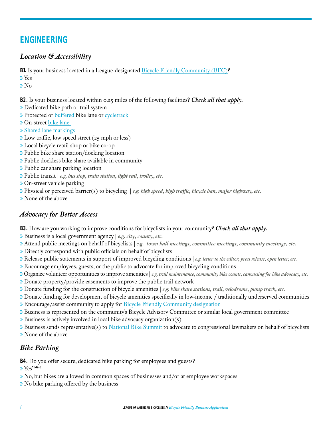# **ENGINEERING**

## *Location & Accessibility*

**B1.** Is your business located in a League-designated [Bicycle Friendly Community \(BFC\)](http://www.bikeleague.org/bfa/awards)?

» Yes

» No

**B2.** Is your business located within 0.25 miles of the following facilities? *Check all that apply.*

- » Dedicated bike path or trail system
- » Protected or [buffered](http://nacto.org/cities-for-cycling/design-guide/bike-lanes/buffered-bike-lanes/) bike lane or [cycletrack](http://nacto.org/cities-for-cycling/design-guide/cycle-tracks/)
- » On-street [bike lane](http://nacto.org/cities-for-cycling/design-guide/bike-lanes/)
- » [Shared lane markings](http://nacto.org/cities-for-cycling/design-guide/bikeway-signing-marking/shared-lane-markings/)
- » Low traffic, low speed street (25 mph or less)
- » Local bicycle retail shop or bike co-op
- » Public bike share station/docking location
- » Public dockless bike share available in community
- » Public car share parking location
- » Public transit | *e.g. bus stop, train station, light rail, trolley, etc.*
- » On-street vehicle parking
- » Physical or perceived barrier(s) to bicycling | *e.g. high speed, high traffic, bicycle ban, major highway, etc.*
- » None of the above

## *Advocacy for Better Access*

**B3.** How are you working to improve conditions for bicyclists in your community? *Check all that apply.* 

- » Business is a local government agency | *e.g. city, county, etc.*
- » Attend public meetings on behalf of bicyclists | *e.g. town hall meetings, committee meetings, community meetings, etc.*
- » Directly correspond with public officials on behalf of bicyclists
- » Release public statements in support of improved bicycling conditions | *e.g. letter to the editor, press release, open letter, etc.*
- » Encourage employees, guests, or the public to advocate for improved bicycling conditions
- » Organize volunteer opportunities to improve amenities | *e.g. trail maintenance, community bike counts, canvassing for bike advocacy, etc.*
- » Donate property/provide easements to improve the public trail network
- » Donate funding for the construction of bicycle amenities | *e.g. bike share stations, trail, velodrome, pump track, etc.*
- » Donate funding for development of bicycle amenities specifically in low-income / traditionally underserved communities
- » Encourage/assist community to apply for [Bicycle Friendly Community designation](http://www.bikeleague.org/community)
- » Business is represented on the community's Bicycle Advisory Committee or similar local government committee
- » Business is actively involved in local bike advocacy organization(s)
- » Business sends representative(s) to [National Bike Summit](http://www.bikeleague.org/summit) to advocate to congressional lawmakers on behalf of bicyclists
- » None of the above

## *Bike Parking*

**B4.** Do you offer secure, dedicated bike parking for employees and guests?

» Yes**\*B4a-c**

- » No, but bikes are allowed in common spaces of businesses and/or at employee workspaces
- » No bike parking offered by the business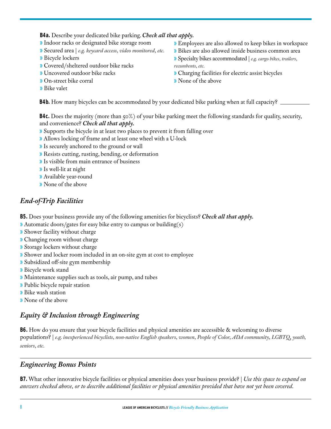#### <span id="page-7-0"></span>**B4a.** Describe your dedicated bike parking. *Check all that apply.*

- » Indoor racks or designated bike storage room
- » Secured area | *e.g. keycard access, video monitored, etc.*
- » Bicycle lockers
- » Covered/sheltered outdoor bike racks
- » Uncovered outdoor bike racks
- » On-street bike corral
- » Bike valet
- » Employees are also allowed to keep bikes in workspace
- » Bikes are also allowed inside business common area
- » Specialty bikes accommodated | *e.g. cargo bikes, trailers, recumbents, etc.*
- » Charging facilities for electric assist bicycles
- » None of the above

**B4b.** How many bicycles can be accommodated by your dedicated bike parking when at full capacity?

**B4c.** Does the majority (more than 50%) of your bike parking meet the following standards for quality, security, and convenience? *Check all that apply.* 

- » Supports the bicycle in at least two places to prevent it from falling over
- » Allows locking of frame and at least one wheel with a U-lock
- » Is securely anchored to the ground or wall
- » Resists cutting, rusting, bending, or deformation
- » Is visible from main entrance of business
- » Is well-lit at night
- » Available year-round
- » None of the above

# *End-of-Trip Facilities*

- **B5.** Does your business provide any of the following amenities for bicyclists? *Check all that apply.*
- » Automatic doors/gates for easy bike entry to campus or building(s)
- » Shower facility without charge
- » Changing room without charge
- » Storage lockers without charge
- » Shower and locker room included in an on-site gym at cost to employee
- » Subsidized off-site gym membership
- » Bicycle work stand
- » Maintenance supplies such as tools, air pump, and tubes
- » Public bicycle repair station
- » Bike wash station
- » None of the above

# *Equity & Inclusion through Engineering*

**B6.** How do you ensure that your bicycle facilities and physical amenities are accessible & welcoming to diverse populations? | *e.g. inexperienced bicyclists, non-native English speakers, women, People of Color, ADA community, LGBTQ, youth, seniors, etc.*

## *Engineering Bonus Points*

**B7.** What other innovative bicycle facilities or physical amenities does your business provide? | *Use this space to expand on answers checked above, or to describe additional facilities or physical amenities provided that have not yet been covered.*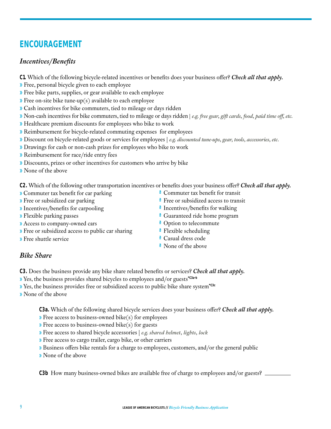# **ENCOURAGEMENT**

# *Incentives/Benefits*

- **C1.** Which of the following bicycle-related incentives or benefits does your business offer? *Check all that apply.*
- » Free, personal bicycle given to each employee
- » Free bike parts, supplies, or gear available to each employee
- $\mathcal Y$  Free on-site bike tune-up(s) available to each employee
- » Cash incentives for bike commuters, tied to mileage or days ridden
- » Non-cash incentives for bike commuters, tied to mileage or days ridden | *e.g. free gear, gift cards, food, paid time off, etc.*
- » Healthcare premium discounts for employees who bike to work
- » Reimbursement for bicycle-related commuting expenses for employees
- » Discount on bicycle-related goods or services for employees | *e.g. discounted tune-ups, gear, tools, accessories, etc.*
- » Drawings for cash or non-cash prizes for employees who bike to work
- » Reimbursement for race/ride entry fees
- » Discounts, prizes or other incentives for customers who arrive by bike
- » None of the above

**C2.** Which of the following other transportation incentives or benefits does your business offer? *Check all that apply.* 

- » Commuter tax benefit for car parking
- » Free or subsidized car parking
- » Incentives/benefits for carpooling
- » Flexible parking passes
- » Access to company-owned cars
- » Free or subsidized access to public car sharing
- » Free shuttle service
- **ª** Commuter tax benefit for transit
- **ª** Free or subsidized access to transit
- **ª** Incentives/benefits for walking
- **ª** Guaranteed ride home program
- **ª** Option to telecommute
- **ª** Flexible scheduling
- **ª** Casual dress code
- **ª** None of the above

## *Bike Share*

**C3.** Does the business provide any bike share related benefits or services? *Check all that apply.*

- » Yes, the business provides shared bicycles to employees and/or guests**\*C3a-b**
- » Yes, the business provides free or subsidized access to public bike share system**\*C3c**
- » None of the above

**C3a.** Which of the following shared bicycle services does your business offer? *Check all that apply.*

- » Free access to business-owned bike(s) for employees
- » Free access to business-owned bike(s) for guests
- » Free access to shared bicycle accessories | *e.g. shared helmet, lights, lock*
- » Free access to cargo trailer, cargo bike, or other carriers
- » Business offers bike rentals for a charge to employees, customers, and/or the general public
- » None of the above

**C3b** How many business-owned bikes are available free of charge to employees and/or guests?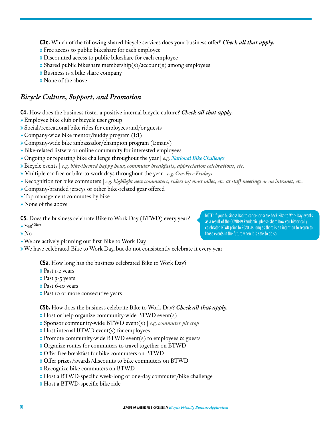**C3c.** Which of the following shared bicycle services does your business offer? *Check all that apply.*

- » Free access to public bikeshare for each employee
- » Discounted access to public bikeshare for each employee
- » Shared public bikeshare membership(s)/account(s) among employees
- » Business is a bike share company
- » None of the above

#### *Bicycle Culture, Support, and Promotion*

**C4.** How does the business foster a positive internal bicycle culture? *Check all that apply.*

- » Employee bike club or bicycle user group
- » Social/recreational bike rides for employees and/or guests
- » Company-wide bike mentor/buddy program (1:1)
- » Company-wide bike ambassador/champion program (1:many)
- » Bike-related listserv or online community for interested employees
- » Ongoing or repeating bike challenge throughout the year | *e.g. [National Bike Challenge](http://www.nationalbikechallenge.org)*
- » Bicycle events | *e.g. bike-themed happy hour, commuter breakfasts, appreciation celebrations, etc.*
- » Multiple car-free or bike-to-work days throughout the year | *e.g. Car-Free Fridays*
- » Recognition for bike commuters | *e.g. highlight new commuters, riders w/ most miles, etc. at staff meetings or on intranet, etc.*

NOTE: if your business had to cancel or scale back Bike to Work Day events as a result of the COVID-19 Pandemic, please share how you historically celebrated BTWD prior to 2020, as long as there is an intention to return to

those events in the future when it is safe to do so.

- » Company-branded jerseys or other bike-related gear offered
- » Top management commutes by bike
- » None of the above
- **C5.** Does the business celebrate Bike to Work Day (BTWD) every year?
- » Yes**\*C5a-d**
- » No
- » We are actively planning our first Bike to Work Day

» We have celebrated Bike to Work Day, but do not consistently celebrate it every year

**C5a.** How long has the business celebrated Bike to Work Day?

- » Past 1-2 years
- » Past 3-5 years
- » Past 6-10 years
- » Past 10 or more consecutive years

**C5b.** How does the business celebrate Bike to Work Day? *Check all that apply.*

- » Host or help organize community-wide BTWD event(s)
- » Sponsor community-wide BTWD event(s) | *e.g. commuter pit stop*
- » Host internal BTWD event(s) for employees
- » Promote community-wide BTWD event(s) to employees & guests
- » Organize routes for commuters to travel together on BTWD
- » Offer free breakfast for bike commuters on BTWD
- » Offer prizes/awards/discounts to bike commuters on BTWD
- » Recognize bike commuters on BTWD
- » Host a BTWD-specific week-long or one-day commuter/bike challenge
- » Host a BTWD-specific bike ride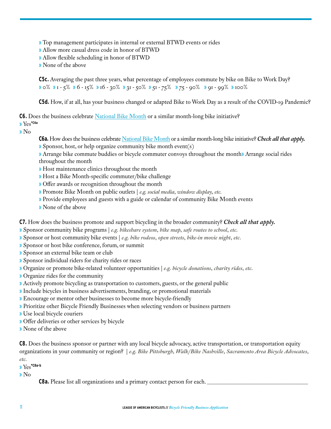» Top management participates in internal or external BTWD events or rides

» Allow more casual dress code in honor of BTWD

- » Allow flexible scheduling in honor of BTWD
- » None of the above

**C5c.** Averaging the past three years, what percentage of employees commute by bike on Bike to Work Day? » 0% » 1 - 5% » 6 - 15% » 16 - 30% » 31 - 50% » 51 - 75% » 75 - 90% » 91 - 99%» 100%

**C5d.** How, if at all, has your business changed or adapted Bike to Work Day as a result of the COVID-19 Pandemic?

**C6.** Does the business celebrate [National Bike Month](http://www.bikeleague.org/content/national-bike-month) or a similar month-long bike initiative?

» Yes**\*C6a**

» No

- **C6a.** How does the business celebrate [National Bike Month](http://www.bikeleague.org/bikemonth) or a similar month-long bike initiative? *Check all that apply.*
- » Sponsor, host, or help organize community bike month event(s)
- » Arrange bike commute buddies or bicycle commuter convoys throughout the month» Arrange social rides throughout the month
- » Host maintenance clinics throughout the month
- » Host a Bike Month-specific commuter/bike challenge
- » Offer awards or recognition throughout the month
- » Promote Bike Month on public outlets | *e.g. social media, window display, etc.*
- » Provide employees and guests with a guide or calendar of community Bike Month events
- » None of the above

**C7.** How does the business promote and support bicycling in the broader community? *Check all that apply.*

- » Sponsor community bike programs | *e.g. bikeshare system, bike map, safe routes to school, etc.*
- » Sponsor or host community bike events | *e.g. bike rodeos, open streets, bike-in movie night, etc.*
- » Sponsor or host bike conference, forum, or summit
- » Sponsor an external bike team or club
- » Sponsor individual riders for charity rides or races
- » Organize or promote bike-related volunteer opportunities | *e.g. bicycle donations, charity rides, etc.*
- » Organize rides for the community
- » Actively promote bicycling as transportation to customers, guests, or the general public
- » Include bicycles in business advertisements, branding, or promotional materials
- » Encourage or mentor other businesses to become more bicycle-friendly
- » Prioritize other Bicycle Friendly Businesses when selecting vendors or business partners
- » Use local bicycle couriers
- » Offer deliveries or other services by bicycle
- » None of the above

**C8.** Does the business sponsor or partner with any local bicycle advocacy, active transportation, or transportation equity organizations in your community or region? | *e.g. Bike Pittsburgh, Walk/Bike Nashville, Sacramento Area Bicycle Advocates,* 

*etc.*

» Yes**\*C8a-b**

» No

**C8a**. Please list all organizations and a primary contact person for each.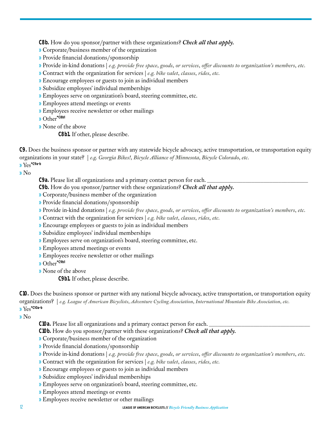<span id="page-11-0"></span>**C8b.** How do you sponsor/partner with these organizations? *Check all that apply.*

» Corporate/business member of the organization

- » Provide financial donations/sponsorship
- » Provide in-kind donations | *e.g. provide free space, goods, or services, offer discounts to organization's members, etc.*
- » Contract with the organization for services | *e.g. bike valet, classes, rides, etc.*
- » Encourage employees or guests to join as individual members
- » Subsidize employees' individual memberships
- » Employees serve on organization's board, steering committee, etc.
- » Employees attend meetings or events
- » Employees receive newsletter or other mailings

» Other**\*C8b1**

» None of the above

**C8b1.** If other, please describe.

**C9.** Does the business sponsor or partner with any statewide bicycle advocacy, active transportation, or transportation equity organizations in your state? | *e.g. Georgia Bikes!, Bicycle Alliance of Minnesota, Bicycle Colorado, etc.* » Yes**\*C9a-b**

» No

C9a. Please list all organizations and a primary contact person for each.

- **C9b.** How do you sponsor/partner with these organizations? *Check all that apply.*
- » Corporate/business member of the organization
- » Provide financial donations/sponsorship
- » Provide in-kind donations | *e.g. provide free space, goods, or services, offer discounts to organization's members, etc.*
- » Contract with the organization for services | *e.g. bike valet, classes, rides, etc.*
- » Encourage employees or guests to join as individual members
- » Subsidize employees' individual memberships
- » Employees serve on organization's board, steering committee, etc.
- » Employees attend meetings or events
- » Employees receive newsletter or other mailings
- » Other**\*C9b1**
- » None of the above

**C9b1.** If other, please describe.

**C10.** Does the business sponsor or partner with any national bicycle advocacy, active transportation, or transportation equity organizations? | *e.g. League of American Bicyclists, Adventure Cycling Association, International Mountain Bike Association, etc.* » Yes**\*C10a-b**

» No

**C10a.** Please list all organizations and a primary contact person for each.

**C10b.** How do you sponsor/partner with these organizations? *Check all that apply.*

- » Corporate/business member of the organization
- » Provide financial donations/sponsorship
- » Provide in-kind donations | *e.g. provide free space, goods, or services, offer discounts to organization's members, etc.*
- » Contract with the organization for services | *e.g. bike valet, classes, rides, etc.*
- » Encourage employees or guests to join as individual members
- » Subsidize employees' individual memberships
- » Employees serve on organization's board, steering committee, etc.
- » Employees attend meetings or events
- » Employees receive newsletter or other mailings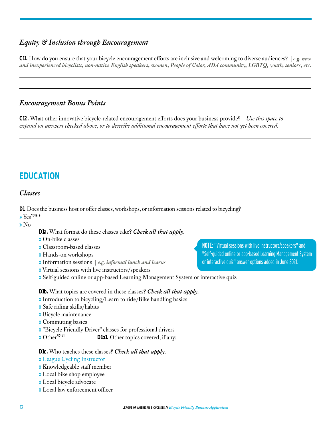## *Equity & Inclusion through Encouragement*

**C11.** How do you ensure that your bicycle encouragement efforts are inclusive and welcoming to diverse audiences? | *e.g. new and inexperienced bicyclists, non-native English speakers, women, People of Color, ADA community, LGBTQ, youth, seniors, etc.*

#### *Encouragement Bonus Points*

**C12.** What other innovative bicycle-related encouragement efforts does your business provide? | *Use this space to expand on answers checked above, or to describe additional encouragement efforts that have not yet been covered.* 

# **EDUCATION**

#### *Classes*

**D1.** Does the business host or offer classes, workshops, or information sessions related to bicycling? » Yes**\*D1a-e**

» No

**D1a.** What format do these classes take? *Check all that apply.*

» On-bike classes

- » Classroom-based classes
- » Hands-on workshops
- » Information sessions | *e.g. informal lunch and learns*
- » Virtual sessions with live instructors/speakers
- » Self-guided online or app-based Learning Management System or interactive quiz

**D1b.** What topics are covered in these classes? *Check all that apply.*

- » Introduction to bicycling/Learn to ride/Bike handling basics
- » Safe riding skills/habits
- » Bicycle maintenance
- » Commuting basics
- » "Bicycle Friendly Driver" classes for professional drivers
- » Other**\*D1b1 D1b1.** Other topics covered, if any:

#### **D1c.** Who teaches these classes? *Check all that apply.*

- » [League Cycling Instructor](http://www.bikeleague.org/content/become-instructor)
- » Knowledgeable staff member
- » Local bike shop employee
- » Local bicycle advocate
- » Local law enforcement officer

NOTE: "Virtual sessions with live instructors/speakers" and "Self-guided online or app-based Learning Management System or interactive quiz" answer options added in June 2021.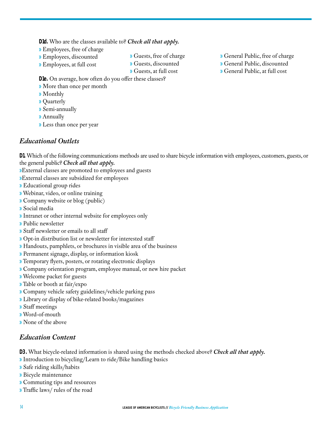<span id="page-13-0"></span>**D1d.** Who are the classes available to? *Check all that apply.*

- » Employees, free of charge
- » Employees, discounted
- » Employees, at full cost
- » Guests, free of charge
- » Guests, discounted
- » Guests, at full cost

**D1e.** On average, how often do you offer these classes?

- » More than once per month
- » Monthly
- » Quarterly
- » Semi-annually
- » Annually
- » Less than once per year

## *Educational Outlets*

**D1.** Which of the following communications methods are used to share bicycle information with employees, customers, guests, or the general public? *Check all that apply.*

»External classes are promoted to employees and guests

- »External classes are subsidized for employees
- » Educational group rides
- » Webinar, video, or online training
- » Company website or blog (public)
- » Social media
- » Intranet or other internal website for employees only
- » Public newsletter
- » Staff newsletter or emails to all staff
- » Opt-in distribution list or newsletter for interested staff
- » Handouts, pamphlets, or brochures in visible area of the business
- » Permanent signage, display, or information kiosk
- » Temporary flyers, posters, or rotating electronic displays
- » Company orientation program, employee manual, or new hire packet
- » Welcome packet for guests
- » Table or booth at fair/expo
- » Company vehicle safety guidelines/vehicle parking pass
- » Library or display of bike-related books/magazines
- » Staff meetings
- » Word-of-mouth
- » None of the above

## *Education Content*

**D3.** What bicycle-related information is shared using the methods checked above? *Check all that apply.*

- » Introduction to bicycling/Learn to ride/Bike handling basics
- » Safe riding skills/habits
- » Bicycle maintenance
- » Commuting tips and resources
- » Traffic laws/ rules of the road
- » General Public, free of charge
- » General Public, discounted
- » General Public, at full cost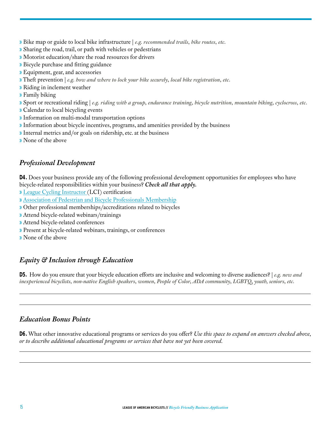- » Bike map or guide to local bike infrastructure | *e.g. recommended trails, bike routes, etc.*
- » Sharing the road, trail, or path with vehicles or pedestrians
- » Motorist education/share the road resources for drivers
- » Bicycle purchase and fitting guidance
- » Equipment, gear, and accessories
- » Theft prevention | *e.g. how and where to lock your bike securely, local bike registration, etc.*
- » Riding in inclement weather
- » Family biking
- » Sport or recreational riding | *e.g. riding with a group, endurance training, bicycle nutrition, mountain biking, cyclocross, etc.*
- » Calendar to local bicycling events
- » Information on multi-modal transportation options
- » Information about bicycle incentives, programs, and amenities provided by the business
- » Internal metrics and/or goals on ridership, etc. at the business
- » None of the above

#### *Professional Development*

**D4.** Does your business provide any of the following professional development opportunities for employees who have bicycle-related responsibilities within your business? *Check all that apply.*

- » [League Cycling Instructor](http://www.bikeleague.org/content/become-instructor) (LCI) certification
- » [Association of Pedestrian and Bicycle Professionals Membership](http://www.apbp.org)
- » Other professional memberships/accreditations related to bicycles
- » Attend bicycle-related webinars/trainings
- » Attend bicycle-related conferences
- » Present at bicycle-related webinars, trainings, or conferences
- » None of the above

## *Equity & Inclusion through Education*

**D5.** How do you ensure that your bicycle education efforts are inclusive and welcoming to diverse audiences? | *e.g. new and inexperienced bicyclists, non-native English speakers, women, People of Color, ADA community, LGBTQ, youth, seniors, etc.*

#### *Education Bonus Points*

**D6.** What other innovative educational programs or services do you offer? *Use this space to expand on answers checked above, or to describe additional educational programs or services that have not yet been covered.*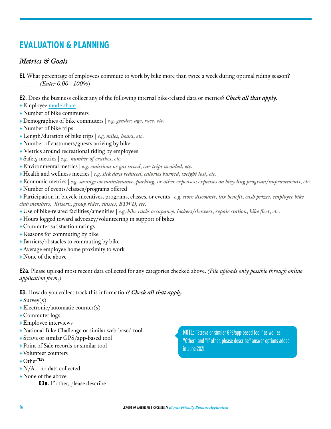# **EVALUATION & PLANNING**

## *Metrics & Goals*

**E1.** What percentage of employees commute to work by bike more than twice a week during optimal riding season? \_\_\_\_\_\_ *(Enter 0.00 - 100%)*

**E2.** Does the business collect any of the following internal bike-related data or metrics? *Check all that apply.* 

- » Employee [mode share](http://en.wikipedia.org/wiki/Modal_share)
- » Number of bike commuters
- » Demographics of bike commuters | *e.g. gender, age, race, etc.*
- » Number of bike trips
- » Length/duration of bike trips | *e.g. miles, hours, etc.*
- » Number of customers/guests arriving by bike
- » Metrics around recreational riding by employees
- » Safety metrics | *e.g. number of crashes, etc.*
- » Environmental metrics | *e.g. emissions or gas saved, car trips avoided, etc.*
- » Health and wellness metrics | *e.g. sick days reduced, calories burned, weight lost, etc.*
- » Economic metrics | *e.g. savings on maintenance, parking, or other expenses; expenses on bicycling program/improvements, etc.*
- » Number of events/classes/programs offered

» Participation in bicycle incentives, programs, classes, or events | *e.g. store discounts, tax benefit, cash prizes, employee bike club members, listserv, group rides, classes, BTWD, etc.*

- » Use of bike-related facilities/amenities | *e.g. bike racks occupancy, lockers/showers, repair station, bike fleet, etc.*
- » Hours logged toward advocacy/volunteering in support of bikes
- » Commuter satisfaction ratings
- » Reasons for commuting by bike
- » Barriers/obstacles to commuting by bike
- » Average employee home proximity to work
- » None of the above

**E2a.** Please upload most recent data collected for any categories checked above. *(File uploads only possible through online application form.)* 

- **E3.** How do you collect track this information? *Check all that apply.*
- $\sqrt{S}$ urvey $(s)$
- » Electronic/automatic counter(s)
- » Commuter logs
- » Employee interviews
- » National Bike Challenge or similar web-based tool
- » Strava or similar GPS/app-based tool
- » Point of Sale records or similar tool
- » Volunteer counters
- » Other**\*E3a**
- » N/A no data collected
- » None of the above
	- **E3a.** If other, please describe

NOTE: "Strava or similar GPS/app-based tool" as well as "Other" and "If other, please describe" answer options added in June 2021.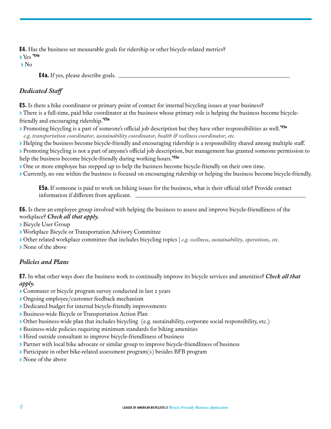<span id="page-16-0"></span>**E4.** Has the business set measurable goals for ridership or other bicycle-related metrics? » Yes **\*E4a**

» No

**E4a.** If yes, please describe goals.

#### *Dedicated Staff*

**E5.** Is there a bike coordinator or primary point of contact for internal bicycling issues at your business? » There is a full-time, paid bike coordinator at the business whose primary role is helping the business become bicyclefriendly and encouraging ridership.**\*E5a**

- » Promoting bicycling is a part of someone's official job description but they have other responsibilities as well.**\*E5a** *e.g. transportation coordinator, sustainability coordinator, health & wellness coordinator, etc.*
- » Helping the business become bicycle-friendly and encouraging ridership is a responsibility shared among multiple staff.

» Promoting bicycling is not a part of anyone's official job description, but management has granted someone permission to help the business become bicycle-friendly during working hours.**\*E5a**

» One or more employee has stepped up to help the business become bicycle-friendly on their own time.

» Currently, no one within the business is focused on encouraging ridership or helping the business become bicycle-friendly.

**E5a.** If someone is paid to work on biking issues for the business, what is their official title? Provide contact information if different from applicant.

**E6.** Is there an employee group involved with helping the business to assess and improve bicycle-friendliness of the workplace? *Check all that apply.*

» Bicycle User Group

» Workplace Bicycle or Transportation Advisory Committee

» Other related workplace committee that includes bicycling topics | *e.g. wellness, sustainability, operations, etc.*

» None of the above

#### *Policies and Plans*

**E7.** In what other ways does the business work to continually improve its bicycle services and amenities? *Check all that apply.*

- » Commuter or bicycle program survey conducted in last 2 years
- » Ongoing employee/customer feedback mechanism
- » Dedicated budget for internal bicycle-friendly improvements
- » Business-wide Bicycle or Transportation Action Plan
- » Other business-wide plan that includes bicycling (e.g. sustainability, corporate social responsibility, etc.)
- » Business-wide policies requiring minimum standards for biking amenities
- » Hired outside consultant to improve bicycle-friendliness of business
- » Partner with local bike advocate or similar group to improve bicycle-friendliness of business
- » Participate in other bike-related assessment program(s) besides BFB program
- » None of the above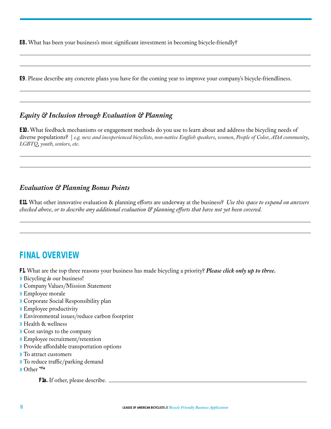**E8.** What has been your business's most significant investment in becoming bicycle-friendly?

**E9**. Please describe any concrete plans you have for the coming year to improve your company's bicycle-friendliness.

## *Equity & Inclusion through Evaluation & Planning*

**E10.** What feedback mechanisms or engagement methods do you use to learn about and address the bicycling needs of diverse populations? | *e.g. new and inexperienced bicyclists, non-native English speakers, women, People of Color, ADA community, LGBTQ, youth, seniors, etc.*

## *Evaluation & Planning Bonus Points*

**E11.** What other innovative evaluation & planning efforts are underway at the business? *Use this space to expand on answers checked above, or to describe any additional evaluation & planning efforts that have not yet been covered.* 

# **FINAL OVERVIEW**

**F1.** What are the top three reasons your business has made bicycling a priority? *Please click only up to three.* 

- » Bicycling *is* our business!
- » Company Values/Mission Statement
- » Employee morale
- » Corporate Social Responsibility plan
- » Employee productivity
- » Environmental issues/reduce carbon footprint
- » Health & wellness
- » Cost savings to the company
- » Employee recruitment/retention
- » Provide affordable transportation options
- » To attract customers
- » To reduce traffic/parking demand
- » Other **\*F1a**

**F1a.** If other, please describe.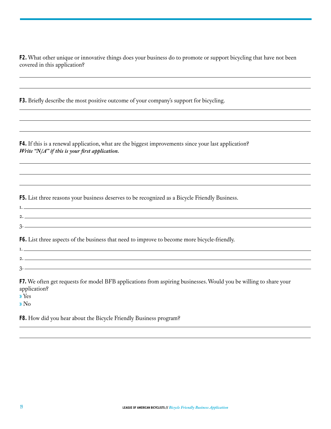**F2.** What other unique or innovative things does your business do to promote or support bicycling that have not been covered in this application?

**F3.** Briefly describe the most positive outcome of your company's support for bicycling.

**F4.** If this is a renewal application, what are the biggest improvements since your last application? *Write "N/A" if this is your first application.*

**F5.** List three reasons your business deserves to be recognized as a Bicycle Friendly Business.

2.

1.

**1.** The contract of the contract of the contract of the contract of the contract of the contract of the contract of the contract of the contract of the contract of the contract of the contract of the contract of the contr

**F6.** List three aspects of the business that need to improve to become more bicycle-friendly.

3.

2.

3.

**F7.** We often get requests for model BFB applications from aspiring businesses. Would you be willing to share your application?

» Yes

» No

**F8.** How did you hear about the Bicycle Friendly Business program?